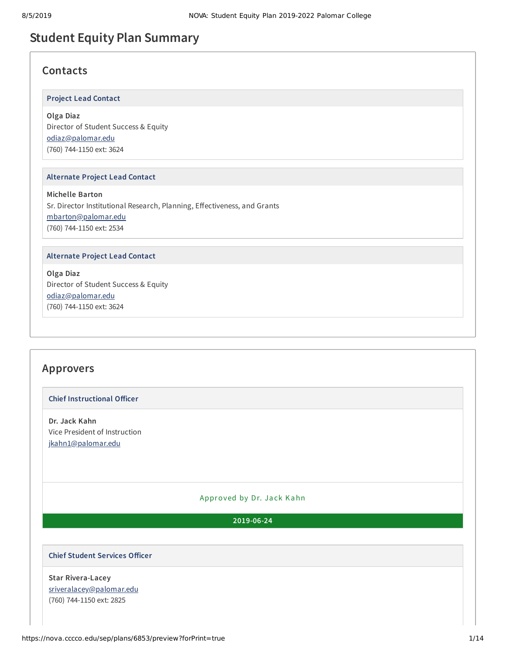# **Student Equity Plan Summary**

# **Contacts**

#### **Project Lead Contact**

#### **Olga Diaz**

Director of Student Success & Equity [odiaz@palomar.edu](mailto:odiaz@palomar.edu) (760) 744-1150 ext: 3624

#### **Alternate Project Lead Contact**

**Michelle Barton** Sr. Director Institutional Research, Planning, Effectiveness, and Grants [mbarton@palomar.edu](mailto:mbarton@palomar.edu) (760) 744-1150 ext: 2534

#### **Alternate Project Lead Contact**

**Olga Diaz** Director of Student Success & Equity [odiaz@palomar.edu](mailto:odiaz@palomar.edu) (760) 744-1150 ext: 3624

# **Approvers**

#### **Chief Instructional Officer**

**Dr. Jack Kahn** Vice President of Instruction [jkahn1@palomar.edu](mailto:jkahn1@palomar.edu)

#### Approved by Dr. Jack Kahn

#### **2019-06-24**

#### **Chief Student Services Officer**

**Star Rivera-Lacey** [sriveralacey@palomar.edu](mailto:sriveralacey@palomar.edu) (760) 744-1150 ext: 2825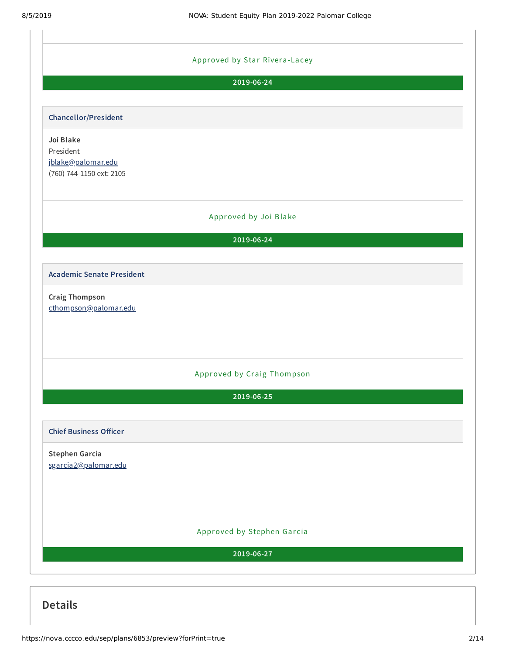

**Details**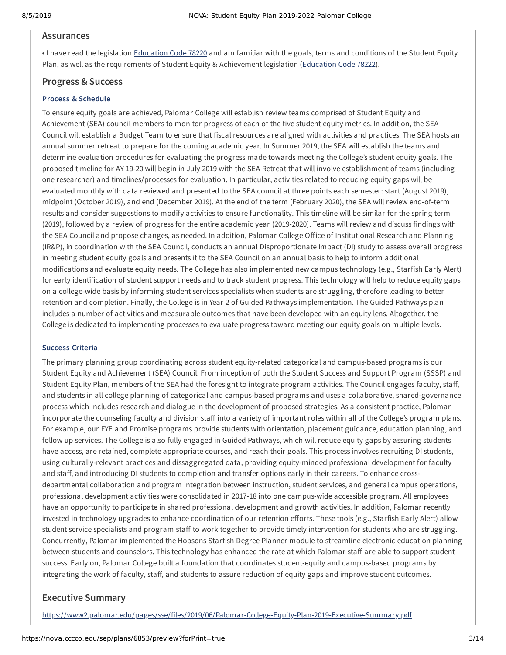#### **Assurances**

• I have read the legislation [Education](https://leginfo.legislature.ca.gov/faces/codes_displayText.xhtml?lawCode=EDC&division=7.&title=3.&part=48.&chapter=2.&article=1.5) Code 78220 and am familiar with the goals, terms and conditions of the Student Equity Plan, as well as the requirements of Student Equity & Achievement legislation ([Education](https://leginfo.legislature.ca.gov/faces/codes_displaySection.xhtml?lawCode=EDC§ionNum=78222.) Code 78222).

## **Progress & Success**

#### **Process & Schedule**

To ensure equity goals are achieved, Palomar College will establish review teams comprised of Student Equity and Achievement (SEA) council members to monitor progress of each of the five student equity metrics. In addition, the SEA Council will establish a Budget Team to ensure that fiscal resources are aligned with activities and practices. The SEA hosts an annual summer retreat to prepare for the coming academic year. In Summer 2019, the SEA will establish the teams and determine evaluation procedures for evaluating the progress made towards meeting the College's student equity goals. The proposed timeline for AY 19-20 will begin in July 2019 with the SEA Retreat that will involve establishment of teams (including one researcher) and timelines/processes for evaluation. In particular, activities related to reducing equity gaps will be evaluated monthly with data reviewed and presented to the SEA council at three points each semester: start (August 2019), midpoint (October 2019), and end (December 2019). At the end of the term (February 2020), the SEA will review end-of-term results and consider suggestions to modify activities to ensure functionality. This timeline will be similar for the spring term (2019), followed by a review of progress for the entire academic year (2019-2020). Teams will review and discuss findings with the SEA Council and propose changes, as needed. In addition, Palomar College Office of Institutional Research and Planning (IR&P), in coordination with the SEA Council, conducts an annual Disproportionate Impact (DI) study to assess overall progress in meeting student equity goals and presents it to the SEA Council on an annual basis to help to inform additional modifications and evaluate equity needs. The College has also implemented new campus technology (e.g., Starfish Early Alert) for early identification of student support needs and to track student progress. This technology will help to reduce equity gaps on a college-wide basis by informing student services specialists when students are struggling, therefore leading to better retention and completion. Finally, the College is in Year 2 of Guided Pathways implementation. The Guided Pathways plan includes a number of activities and measurable outcomes that have been developed with an equity lens. Altogether, the College is dedicated to implementing processes to evaluate progress toward meeting our equity goals on multiple levels.

#### **Success Criteria**

The primary planning group coordinating across student equity-related categorical and campus-based programs is our Student Equity and Achievement (SEA) Council. From inception of both the Student Success and Support Program (SSSP) and Student Equity Plan, members of the SEA had the foresight to integrate program activities. The Council engages faculty, staff, and students in all college planning of categorical and campus-based programs and uses a collaborative, shared-governance process which includes research and dialogue in the development of proposed strategies. As a consistent practice, Palomar incorporate the counseling faculty and division staff into a variety of important roles within all of the College's program plans. For example, our FYE and Promise programs provide students with orientation, placement guidance, education planning, and follow up services. The College is also fully engaged in Guided Pathways, which will reduce equity gaps by assuring students have access, are retained, complete appropriate courses, and reach their goals. This process involves recruiting DI students, using culturally-relevant practices and dissaggregated data, providing equity-minded professional development for faculty and staff, and introducing DI students to completion and transfer options early in their careers. To enhance crossdepartmental collaboration and program integration between instruction, student services, and general campus operations, professional development activities were consolidated in 2017-18 into one campus-wide accessible program. All employees have an opportunity to participate in shared professional development and growth activities. In addition, Palomar recently invested in technology upgrades to enhance coordination of our retention efforts. These tools (e.g., Starfish Early Alert) allow student service specialists and program staff to work together to provide timely intervention for students who are struggling. Concurrently, Palomar implemented the Hobsons Starfish Degree Planner module to streamline electronic education planning between students and counselors. This technology has enhanced the rate at which Palomar staff are able to support student success. Early on, Palomar College built a foundation that coordinates student-equity and campus-based programs by integrating the work of faculty, staff, and students to assure reduction of equity gaps and improve student outcomes.

### **Executive Summary**

<https://www2.palomar.edu/pages/sse/files/2019/06/Palomar-College-Equity-Plan-2019-Executive-Summary.pdf>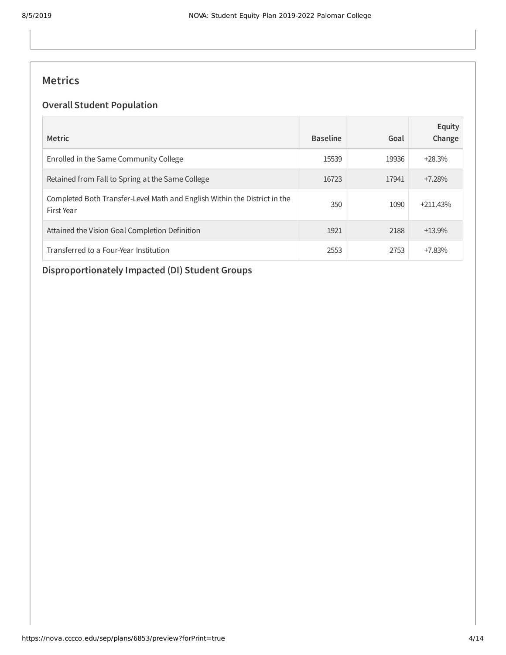# **Metrics**

## **Overall Student Population**

| <b>Metric</b>                                                                           | <b>Baseline</b> | Goal  | Equity<br>Change |
|-----------------------------------------------------------------------------------------|-----------------|-------|------------------|
| Enrolled in the Same Community College                                                  | 15539           | 19936 | $+28.3%$         |
| Retained from Fall to Spring at the Same College                                        | 16723           | 17941 | $+7.28%$         |
| Completed Both Transfer-Level Math and English Within the District in the<br>First Year | 350             | 1090  | $+211.43%$       |
| Attained the Vision Goal Completion Definition                                          | 1921            | 2188  | $+13.9%$         |
| Transferred to a Four-Year Institution                                                  | 2553            | 2753  | $+7.83%$         |

# **Disproportionately Impacted (DI) Student Groups**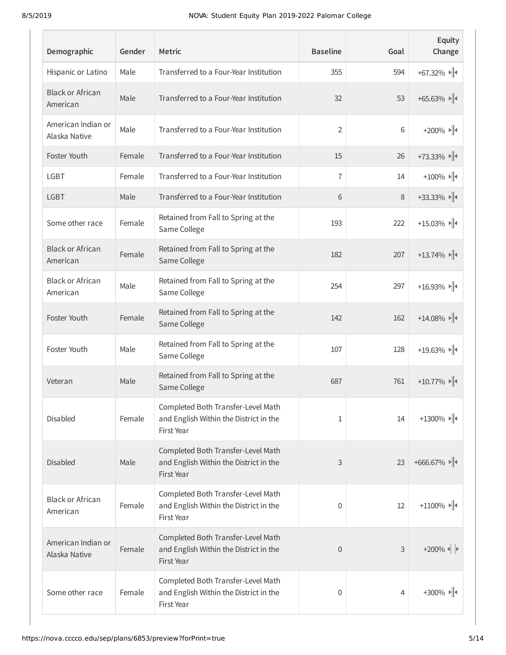| Demographic                         | Gender | <b>Metric</b>                                                                              | <b>Baseline</b> | Goal | Equity<br>Change                                                           |
|-------------------------------------|--------|--------------------------------------------------------------------------------------------|-----------------|------|----------------------------------------------------------------------------|
| Hispanic or Latino                  | Male   | Transferred to a Four-Year Institution                                                     | 355             | 594  | $+67.32\%$                                                                 |
| <b>Black or African</b><br>American | Male   | Transferred to a Four-Year Institution                                                     | 32              | 53   | $+65.63\%$                                                                 |
| American Indian or<br>Alaska Native | Male   | Transferred to a Four-Year Institution                                                     | 2               | 6    | $+200\%$ $\rightarrow$ $\parallel$                                         |
| Foster Youth                        | Female | Transferred to a Four-Year Institution                                                     | 15              | 26   | $+73.33\%$                                                                 |
| <b>LGBT</b>                         | Female | Transferred to a Four-Year Institution                                                     | 7               | 14   | $+100\%$ $\rightarrow$ $\parallel$                                         |
| <b>LGBT</b>                         | Male   | Transferred to a Four-Year Institution                                                     | 6               | 8    | $+33.33\%$                                                                 |
| Some other race                     | Female | Retained from Fall to Spring at the<br>Same College                                        | 193             | 222  | $+15.03\%$                                                                 |
| <b>Black or African</b><br>American | Female | Retained from Fall to Spring at the<br>Same College                                        | 182             | 207  | $+13.74\%$                                                                 |
| <b>Black or African</b><br>American | Male   | Retained from Fall to Spring at the<br>Same College                                        | 254             | 297  | $+16.93\%$                                                                 |
| Foster Youth                        | Female | Retained from Fall to Spring at the<br>Same College                                        | 142             | 162  | $+14.08\%$                                                                 |
| Foster Youth                        | Male   | Retained from Fall to Spring at the<br>Same College                                        | 107             | 128  | $+19.63\%$                                                                 |
| Veteran                             | Male   | Retained from Fall to Spring at the<br>Same College                                        | 687             | 761  | $+10.77\%$                                                                 |
| Disabled                            | Female | Completed Both Transfer-Level Math<br>and English Within the District in the<br>First Year | 1               | 14   | +1300% $  $                                                                |
| <b>Disabled</b>                     | Male   | Completed Both Transfer-Level Math<br>and English Within the District in the<br>First Year | 3               | 23   | $+666.67\%$                                                                |
| <b>Black or African</b><br>American | Female | Completed Both Transfer-Level Math<br>and English Within the District in the<br>First Year | $\mathbf 0$     | 12   | $+1100\%$                                                                  |
| American Indian or<br>Alaska Native | Female | Completed Both Transfer-Level Math<br>and English Within the District in the<br>First Year | $\theta$        | 3    | $+200\%$ $\parallel$ $\triangleright$                                      |
| Some other race                     | Female | Completed Both Transfer-Level Math<br>and English Within the District in the<br>First Year | 0               | 4    | $+300\%$ $\blacktriangleright$ $\blacktriangleright$ $\blacktriangleright$ |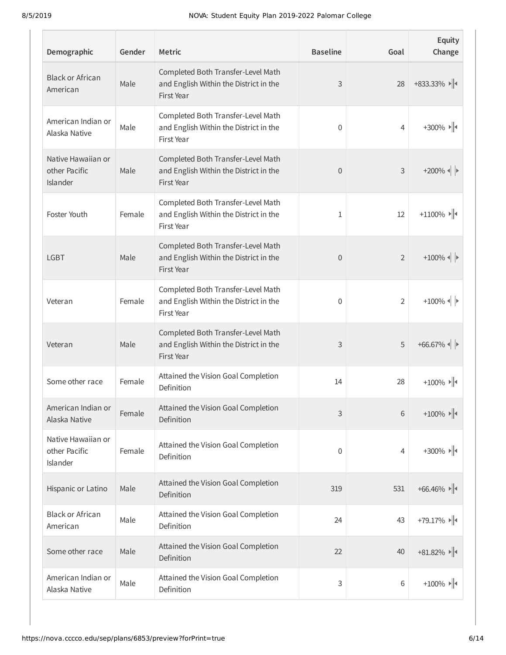| Demographic                                     | Gender | <b>Metric</b>                                                                              | <b>Baseline</b> | Goal           | Equity<br>Change                      |
|-------------------------------------------------|--------|--------------------------------------------------------------------------------------------|-----------------|----------------|---------------------------------------|
| <b>Black or African</b><br>American             | Male   | Completed Both Transfer-Level Math<br>and English Within the District in the<br>First Year | 3               | 28             | $+833.33\%$                           |
| American Indian or<br>Alaska Native             | Male   | Completed Both Transfer-Level Math<br>and English Within the District in the<br>First Year | 0               | 4              | $+300\%$ $\rightarrow$ $\parallel$    |
| Native Hawaiian or<br>other Pacific<br>Islander | Male   | Completed Both Transfer-Level Math<br>and English Within the District in the<br>First Year | 0               | 3              | $+200\%$ $\left\  \cdot \right\ $     |
| Foster Youth                                    | Female | Completed Both Transfer-Level Math<br>and English Within the District in the<br>First Year | 1               | 12             | $+1100\%$                             |
| <b>LGBT</b>                                     | Male   | Completed Both Transfer-Level Math<br>and English Within the District in the<br>First Year | 0               | $\overline{2}$ | $+100\%$ $\parallel$ $\triangleright$ |
| Veteran                                         | Female | Completed Both Transfer-Level Math<br>and English Within the District in the<br>First Year | 0               | 2              | $+100\%$ $\parallel$ $\triangleright$ |
| Veteran                                         | Male   | Completed Both Transfer-Level Math<br>and English Within the District in the<br>First Year | 3               | 5              | $+66.67\%$                            |
| Some other race                                 | Female | Attained the Vision Goal Completion<br>Definition                                          | 14              | 28             | $+100\%$ $\rightarrow$ $\parallel$ +  |
| American Indian or<br>Alaska Native             | Female | Attained the Vision Goal Completion<br>Definition                                          | 3               | 6              | $+100\%$ $\rightarrow$ $\parallel$ +  |
| Native Hawaiian or<br>other Pacific<br>Islander | Female | Attained the Vision Goal Completion<br>Definition                                          | 0               | 4              | $+300\%$ $\rightarrow$ $\parallel$ +  |
| Hispanic or Latino                              | Male   | Attained the Vision Goal Completion<br>Definition                                          | 319             | 531            | $+66.46\%$                            |
| <b>Black or African</b><br>American             | Male   | Attained the Vision Goal Completion<br>Definition                                          | 24              | 43             | $+79.17\%$                            |
| Some other race                                 | Male   | Attained the Vision Goal Completion<br>Definition                                          | 22              | 40             | $+81.82\%$                            |
| American Indian or<br>Alaska Native             | Male   | Attained the Vision Goal Completion<br>Definition                                          | 3               | 6              | $+100\%$ $\rightarrow$ $\parallel$    |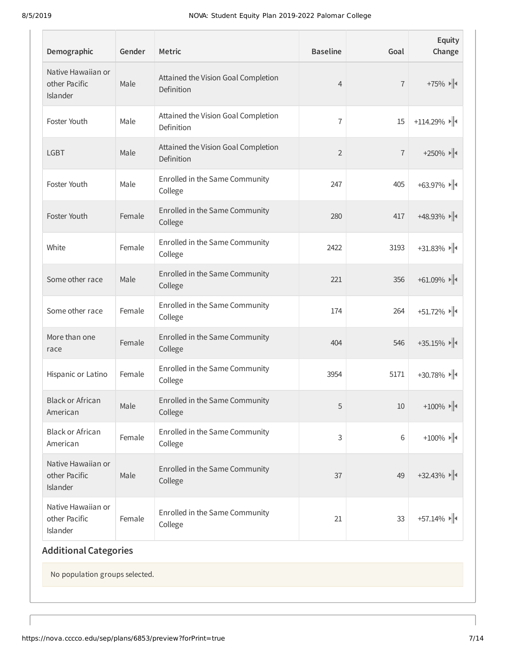| Demographic                                     | Gender | <b>Metric</b>                                     | <b>Baseline</b> | Goal           | Equity<br>Change                                     |
|-------------------------------------------------|--------|---------------------------------------------------|-----------------|----------------|------------------------------------------------------|
| Native Hawaiian or<br>other Pacific<br>Islander | Male   | Attained the Vision Goal Completion<br>Definition | $\overline{4}$  | $\overline{7}$ | $+75\%$ $\rightarrow$ $\parallel$                    |
| Foster Youth                                    | Male   | Attained the Vision Goal Completion<br>Definition | $\overline{1}$  | 15             | $+114.29\%$                                          |
| <b>LGBT</b>                                     | Male   | Attained the Vision Goal Completion<br>Definition | $\overline{2}$  | $\overline{1}$ | $+250\%$ $\blacktriangleright$ $\blacktriangleright$ |
| Foster Youth                                    | Male   | Enrolled in the Same Community<br>College         | 247             | 405            | $+63.97\%$                                           |
| Foster Youth                                    | Female | Enrolled in the Same Community<br>College         | 280             | 417            | $+48.93\%$                                           |
| White                                           | Female | Enrolled in the Same Community<br>College         | 2422            | 3193           | $+31.83\%$                                           |
| Some other race                                 | Male   | Enrolled in the Same Community<br>College         | 221             | 356            | $+61.09\%$                                           |
| Some other race                                 | Female | Enrolled in the Same Community<br>College         | 174             | 264            | $+51.72\%$                                           |
| More than one<br>race                           | Female | Enrolled in the Same Community<br>College         | 404             | 546            | $+35.15\%$                                           |
| Hispanic or Latino                              | Female | Enrolled in the Same Community<br>College         | 3954            | 5171           | $+30.78\%$                                           |
| <b>Black or African</b><br>American             | Male   | Enrolled in the Same Community<br>College         | 5               | 10             | $+100\%$ $\rightarrow$ $\parallel$                   |
| <b>Black or African</b><br>American             | Female | Enrolled in the Same Community<br>College         | 3               | $6\,$          | $+100\%$ $\rightarrow$ $\parallel$ +                 |
| Native Hawaiian or<br>other Pacific<br>Islander | Male   | Enrolled in the Same Community<br>College         | 37              | 49             | $+32.43\%$                                           |
| Native Hawaiian or<br>other Pacific<br>Islander | Female | Enrolled in the Same Community<br>College         | 21              | 33             | $+57.14\%$                                           |

# **Additional Categories**

No population groups selected.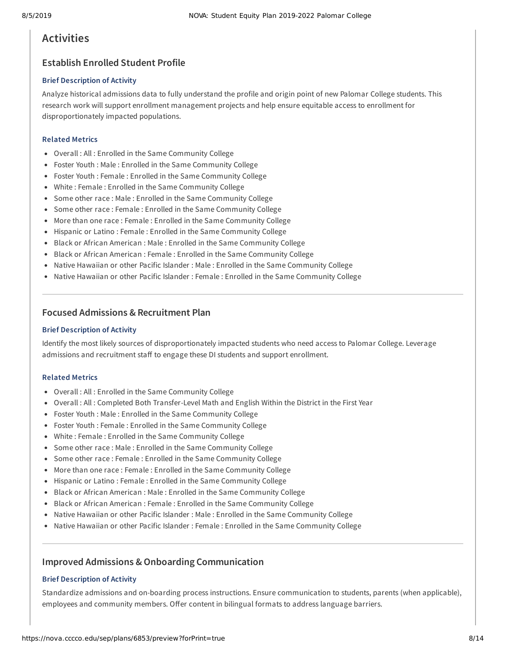# **Activities**

## **Establish Enrolled Student Profile**

#### **Brief Description of Activity**

Analyze historical admissions data to fully understand the profile and origin point of new Palomar College students. This research work will support enrollment management projects and help ensure equitable access to enrollment for disproportionately impacted populations.

#### **Related Metrics**

- Overall : All : Enrolled in the Same Community College
- Foster Youth : Male : Enrolled in the Same Community College
- Foster Youth : Female : Enrolled in the Same Community College
- White : Female : Enrolled in the Same Community College
- Some other race : Male : Enrolled in the Same Community College
- Some other race : Female : Enrolled in the Same Community College
- More than one race : Female : Enrolled in the Same Community College
- Hispanic or Latino : Female : Enrolled in the Same Community College
- Black or African American : Male : Enrolled in the Same Community College
- Black or African American : Female : Enrolled in the Same Community College
- Native Hawaiian or other Pacific Islander : Male : Enrolled in the Same Community College
- Native Hawaiian or other Pacific Islander : Female : Enrolled in the Same Community College

## **Focused Admissions & Recruitment Plan**

#### **Brief Description of Activity**

Identify the most likely sources of disproportionately impacted students who need access to Palomar College. Leverage admissions and recruitment staff to engage these DI students and support enrollment.

#### **Related Metrics**

- Overall : All : Enrolled in the Same Community College
- Overall : All : Completed Both Transfer-Level Math and English Within the District in the First Year
- Foster Youth : Male : Enrolled in the Same Community College
- Foster Youth : Female : Enrolled in the Same Community College
- White : Female : Enrolled in the Same Community College
- Some other race : Male : Enrolled in the Same Community College
- Some other race : Female : Enrolled in the Same Community College
- More than one race : Female : Enrolled in the Same Community College
- Hispanic or Latino : Female : Enrolled in the Same Community College
- Black or African American : Male : Enrolled in the Same Community College
- Black or African American : Female : Enrolled in the Same Community College
- Native Hawaiian or other Pacific Islander : Male : Enrolled in the Same Community College
- Native Hawaiian or other Pacific Islander : Female : Enrolled in the Same Community College

## **Improved Admissions & Onboarding Communication**

#### **Brief Description of Activity**

Standardize admissions and on-boarding process instructions. Ensure communication to students, parents (when applicable), employees and community members. Offer content in bilingual formats to address language barriers.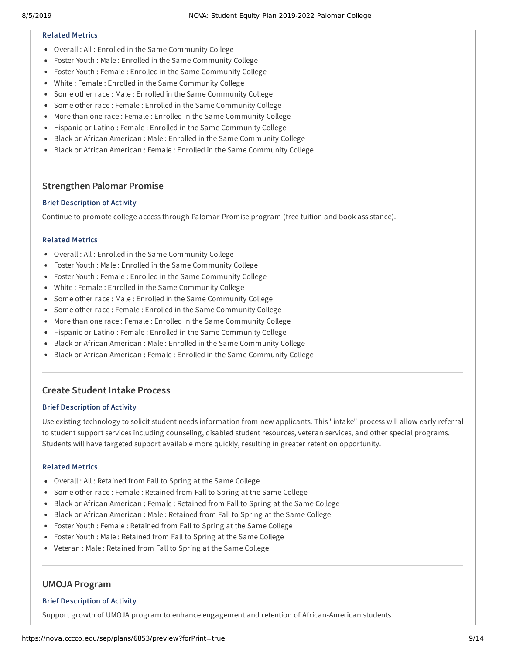#### **Related Metrics**

- Overall : All : Enrolled in the Same Community College
- Foster Youth : Male : Enrolled in the Same Community College
- Foster Youth : Female : Enrolled in the Same Community College
- White : Female : Enrolled in the Same Community College
- Some other race : Male : Enrolled in the Same Community College
- Some other race : Female : Enrolled in the Same Community College
- More than one race : Female : Enrolled in the Same Community College
- Hispanic or Latino : Female : Enrolled in the Same Community College
- Black or African American : Male : Enrolled in the Same Community College
- Black or African American : Female : Enrolled in the Same Community College

## **Strengthen Palomar Promise**

#### **Brief Description of Activity**

Continue to promote college access through Palomar Promise program (free tuition and book assistance).

#### **Related Metrics**

- Overall : All : Enrolled in the Same Community College
- Foster Youth : Male : Enrolled in the Same Community College
- Foster Youth : Female : Enrolled in the Same Community College
- White : Female : Enrolled in the Same Community College
- Some other race : Male : Enrolled in the Same Community College
- Some other race : Female : Enrolled in the Same Community College
- More than one race : Female : Enrolled in the Same Community College
- Hispanic or Latino : Female : Enrolled in the Same Community College
- Black or African American : Male : Enrolled in the Same Community College
- Black or African American : Female : Enrolled in the Same Community College

## **Create Student Intake Process**

#### **Brief Description of Activity**

Use existing technology to solicit student needs information from new applicants. This "intake" process will allow early referral to student support services including counseling, disabled student resources, veteran services, and other special programs. Students will have targeted support available more quickly, resulting in greater retention opportunity.

#### **Related Metrics**

- Overall : All : Retained from Fall to Spring at the Same College
- Some other race : Female : Retained from Fall to Spring at the Same College
- Black or African American : Female : Retained from Fall to Spring at the Same College
- Black or African American : Male : Retained from Fall to Spring at the Same College
- Foster Youth : Female : Retained from Fall to Spring at the Same College
- Foster Youth : Male : Retained from Fall to Spring at the Same College
- Veteran : Male : Retained from Fall to Spring at the Same College

### **UMOJA Program**

#### **Brief Description of Activity**

Support growth of UMOJA program to enhance engagement and retention of African-American students.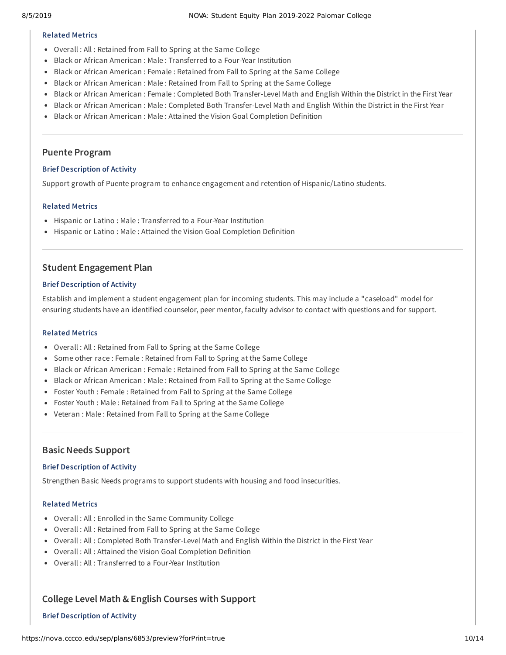#### **Related Metrics**

- Overall : All : Retained from Fall to Spring at the Same College
- Black or African American : Male : Transferred to a Four-Year Institution
- Black or African American : Female : Retained from Fall to Spring at the Same College
- Black or African American : Male : Retained from Fall to Spring at the Same College
- Black or African American : Female : Completed Both Transfer-Level Math and English Within the District in the First Year
- Black or African American : Male : Completed Both Transfer-Level Math and English Within the District in the First Year
- **Black or African American : Male : Attained the Vision Goal Completion Definition**

## **Puente Program**

## **Brief Description of Activity**

Support growth of Puente program to enhance engagement and retention of Hispanic/Latino students.

## **Related Metrics**

- Hispanic or Latino : Male : Transferred to a Four-Year Institution
- Hispanic or Latino : Male : Attained the Vision Goal Completion Definition

# **Student Engagement Plan**

## **Brief Description of Activity**

Establish and implement a student engagement plan for incoming students. This may include a "caseload" model for ensuring students have an identified counselor, peer mentor, faculty advisor to contact with questions and for support.

#### **Related Metrics**

- Overall : All : Retained from Fall to Spring at the Same College
- Some other race : Female : Retained from Fall to Spring at the Same College
- Black or African American : Female : Retained from Fall to Spring at the Same College
- Black or African American : Male : Retained from Fall to Spring at the Same College
- Foster Youth : Female : Retained from Fall to Spring at the Same College
- Foster Youth : Male : Retained from Fall to Spring at the Same College
- Veteran : Male : Retained from Fall to Spring at the Same College

## **BasicNeeds Support**

#### **Brief Description of Activity**

Strengthen Basic Needs programs to support students with housing and food insecurities.

#### **Related Metrics**

- Overall : All : Enrolled in the Same Community College
- Overall : All : Retained from Fall to Spring at the Same College
- Overall : All : Completed Both Transfer-Level Math and English Within the District in the First Year
- Overall : All : Attained the Vision Goal Completion Definition
- Overall : All : Transferred to a Four-Year Institution

# **College Level Math & English Courses with Support**

## **Brief Description of Activity**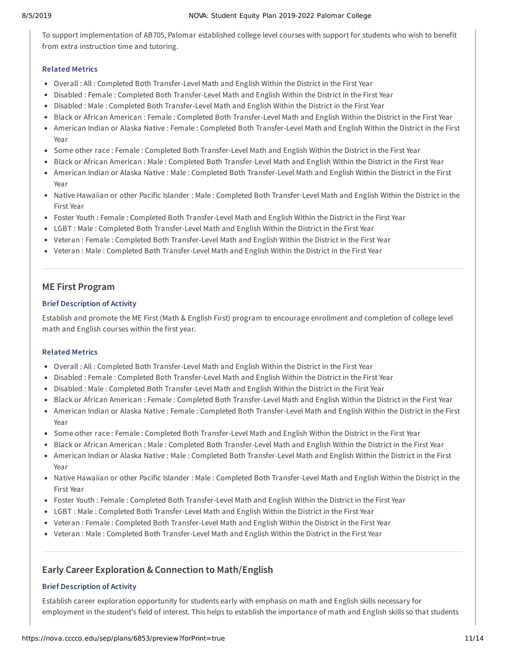To support implementation of AB705, Palomar established college level courses with support for students who wish to benefit from extra instruction time and tutoring.

#### **Related Metrics**

- Overall : All : Completed Both Transfer-Level Math and English Within the District in the First Year
- Disabled : Female : Completed Both Transfer-Level Math and English Within the District in the First Year
- Disabled : Male : Completed Both Transfer-Level Math and English Within the District in the First Year
- Black or African American : Female : Completed Both Transfer-Level Math and English Within the District in the First Year
- American Indian or Alaska Native : Female : Completed Both Transfer-Level Math and English Within the District in the First Year
- Some other race : Female : Completed Both Transfer-Level Math and English Within the District in the First Year
- Black or African American : Male : Completed Both Transfer-Level Math and English Within the District in the First Year
- American Indian or Alaska Native : Male : Completed Both Transfer-Level Math and English Within the District in the First Year
- Native Hawaiian or other Pacific Islander : Male : Completed Both Transfer-Level Math and English Within the District in the First Year
- Foster Youth : Female : Completed Both Transfer-Level Math and English Within the District in the First Year
- LGBT : Male : Completed Both Transfer-Level Math and English Within the District in the First Year
- Veteran : Female : Completed Both Transfer-Level Math and English Within the District in the First Year
- Veteran : Male : Completed Both Transfer-Level Math and English Within the District in the First Year

## **ME First Program**

#### **Brief Description of Activity**

Establish and promote the ME First (Math & English First) program to encourage enrollment and completion of college level math and English courses within the first year.

#### **Related Metrics**

- Overall : All : Completed Both Transfer-Level Math and English Within the District in the First Year
- Disabled : Female : Completed Both Transfer-Level Math and English Within the District in the First Year
- Disabled : Male : Completed Both Transfer-Level Math and English Within the District in the First Year
- Black or African American : Female : Completed Both Transfer-Level Math and English Within the District in the First Year
- American Indian or Alaska Native : Female : Completed Both Transfer-Level Math and English Within the District in the First Year
- Some other race : Female : Completed Both Transfer-Level Math and English Within the District in the First Year
- Black or African American : Male : Completed Both Transfer-Level Math and English Within the District in the First Year
- American Indian or Alaska Native : Male : Completed Both Transfer-Level Math and English Within the District in the First Year
- Native Hawaiian or other Pacific Islander : Male : Completed Both Transfer-Level Math and English Within the District in the First Year
- Foster Youth : Female : Completed Both Transfer-Level Math and English Within the District in the First Year
- LGBT : Male : Completed Both Transfer-Level Math and English Within the District in the First Year
- Veteran : Female : Completed Both Transfer-Level Math and English Within the District in the First Year
- Veteran : Male : Completed Both Transfer-Level Math and English Within the District in the First Year

## **Early Career Exploration & Connection to Math/English**

#### **Brief Description of Activity**

Establish career exploration opportunity for students early with emphasis on math and English skills necessary for employment in the student's field of interest. This helps to establish the importance of math and English skills so that students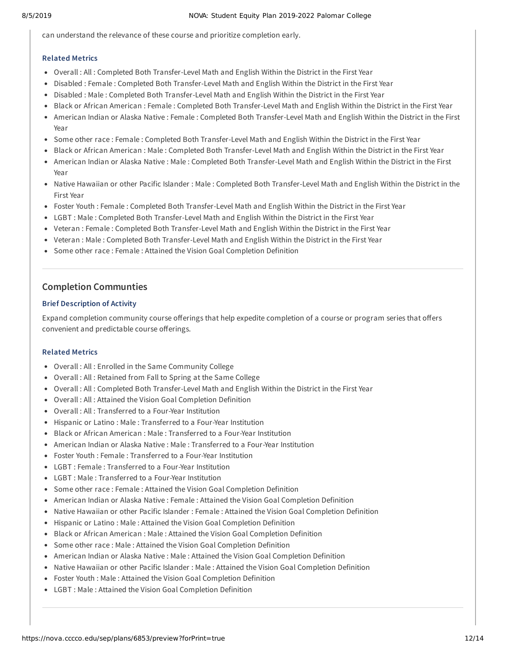can understand the relevance of these course and prioritize completion early.

#### **Related Metrics**

- Overall : All : Completed Both Transfer-Level Math and English Within the District in the First Year
- Disabled : Female : Completed Both Transfer-Level Math and English Within the District in the First Year
- Disabled : Male : Completed Both Transfer-Level Math and English Within the District in the First Year
- Black or African American : Female : Completed Both Transfer-Level Math and English Within the District in the First Year
- American Indian or Alaska Native : Female : Completed Both Transfer-Level Math and English Within the District in the First Year
- Some other race : Female : Completed Both Transfer-Level Math and English Within the District in the First Year
- Black or African American : Male : Completed Both Transfer-Level Math and English Within the District in the First Year
- American Indian or Alaska Native : Male : Completed Both Transfer-Level Math and English Within the District in the First Year
- Native Hawaiian or other Pacific Islander : Male : Completed Both Transfer-Level Math and English Within the District in the First Year
- Foster Youth : Female : Completed Both Transfer-Level Math and English Within the District in the First Year
- LGBT : Male : Completed Both Transfer-Level Math and English Within the District in the First Year
- Veteran : Female : Completed Both Transfer-Level Math and English Within the District in the First Year
- Veteran : Male : Completed Both Transfer-Level Math and English Within the District in the First Year
- Some other race : Female : Attained the Vision Goal Completion Definition

## **Completion Communties**

#### **Brief Description of Activity**

Expand completion community course offerings that help expedite completion of a course or program series that offers convenient and predictable course offerings.

#### **Related Metrics**

- Overall : All : Enrolled in the Same Community College
- Overall : All : Retained from Fall to Spring at the Same College
- Overall : All : Completed Both Transfer-Level Math and English Within the District in the First Year
- Overall : All : Attained the Vision Goal Completion Definition
- Overall : All : Transferred to a Four-Year Institution
- Hispanic or Latino : Male : Transferred to a Four-Year Institution
- Black or African American : Male : Transferred to a Four-Year Institution
- American Indian or Alaska Native : Male : Transferred to a Four-Year Institution
- Foster Youth : Female : Transferred to a Four-Year Institution
- LGBT : Female : Transferred to a Four-Year Institution
- LGBT : Male : Transferred to a Four-Year Institution
- Some other race : Female : Attained the Vision Goal Completion Definition
- American Indian or Alaska Native : Female : Attained the Vision Goal Completion Definition
- Native Hawaiian or other Pacific Islander : Female : Attained the Vision Goal Completion Definition
- Hispanic or Latino : Male : Attained the Vision Goal Completion Definition
- **Black or African American : Male : Attained the Vision Goal Completion Definition**
- Some other race : Male : Attained the Vision Goal Completion Definition
- American Indian or Alaska Native : Male : Attained the Vision Goal Completion Definition
- Native Hawaiian or other Pacific Islander : Male : Attained the Vision Goal Completion Definition
- Foster Youth : Male : Attained the Vision Goal Completion Definition
- LGBT : Male : Attained the Vision Goal Completion Definition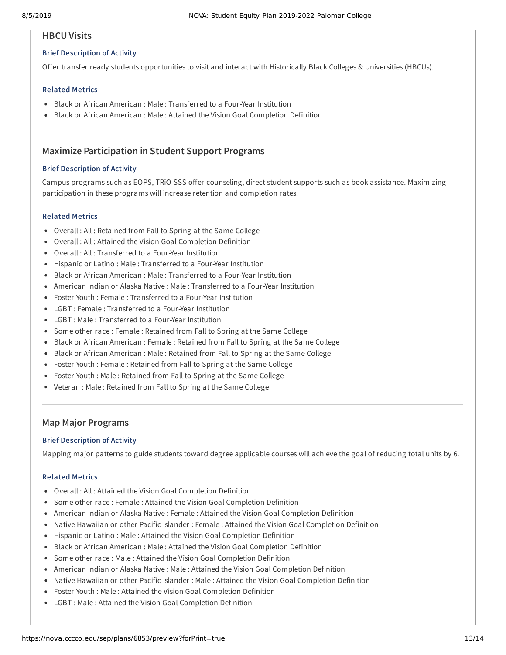### **HBCUVisits**

#### **Brief Description of Activity**

Offer transfer ready students opportunities to visit and interact with Historically Black Colleges & Universities (HBCUs).

#### **Related Metrics**

- Black or African American : Male : Transferred to a Four-Year Institution
- **Black or African American : Male : Attained the Vision Goal Completion Definition**

## **Maximize Participation in Student Support Programs**

#### **Brief Description of Activity**

Campus programs such as EOPS, TRIO SSS offer counseling, direct student supports such as book assistance. Maximizing participation in these programs will increase retention and completion rates.

#### **Related Metrics**

- Overall : All : Retained from Fall to Spring at the Same College
- Overall : All : Attained the Vision Goal Completion Definition
- Overall : All : Transferred to a Four-Year Institution
- Hispanic or Latino : Male : Transferred to a Four-Year Institution
- Black or African American : Male : Transferred to a Four-Year Institution
- American Indian or Alaska Native : Male : Transferred to a Four-Year Institution
- Foster Youth : Female : Transferred to a Four-Year Institution
- LGBT : Female : Transferred to a Four-Year Institution
- LGBT : Male : Transferred to a Four-Year Institution
- Some other race : Female : Retained from Fall to Spring at the Same College
- Black or African American : Female : Retained from Fall to Spring at the Same College
- Black or African American : Male : Retained from Fall to Spring at the Same College
- Foster Youth : Female : Retained from Fall to Spring at the Same College
- Foster Youth : Male : Retained from Fall to Spring at the Same College
- Veteran : Male : Retained from Fall to Spring at the Same College

### **Map Major Programs**

#### **Brief Description of Activity**

Mapping major patterns to guide students toward degree applicable courses will achieve the goal of reducing total units by 6.

#### **Related Metrics**

- Overall : All : Attained the Vision Goal Completion Definition
- Some other race : Female : Attained the Vision Goal Completion Definition
- American Indian or Alaska Native : Female : Attained the Vision Goal Completion Definition
- Native Hawaiian or other Pacific Islander : Female : Attained the Vision Goal Completion Definition
- Hispanic or Latino : Male : Attained the Vision Goal Completion Definition
- Black or African American : Male : Attained the Vision Goal Completion Definition
- Some other race : Male : Attained the Vision Goal Completion Definition
- American Indian or Alaska Native : Male : Attained the Vision Goal Completion Definition
- Native Hawaiian or other Pacific Islander : Male : Attained the Vision Goal Completion Definition
- Foster Youth : Male : Attained the Vision Goal Completion Definition
- LGBT : Male : Attained the Vision Goal Completion Definition